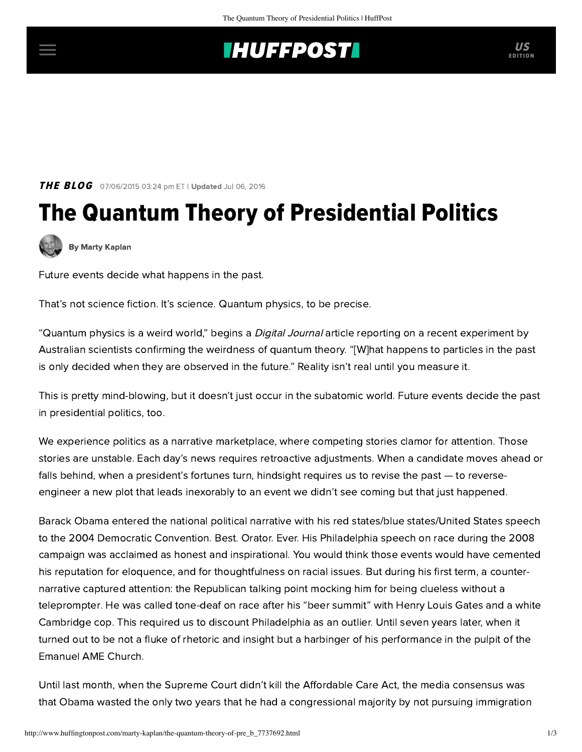## **IHUFFPOSTI**

THE BLOG 07/06/2015 03:24 pm ET | Updated Jul 06, 2016

# The Quantum Theory of Presidential Politics



[By Marty Kaplan](http://www.huffingtonpost.com/author/marty-kaplan)

Future events decide what happens in the past.

That's not science fiction. It's science. Quantum physics, to be precise.

"Quantum physics is a weird world," begins a *[Digital Journal](http://www.digitaljournal.com/science/experiment-shows-future-events-decide-what-happens-in-the-past/article/434829)* article reporting on a recent experiment by [Australian scientists](http://www.sciencedaily.com/releases/2015/05/150527103110.htm) confirming the weirdness of quantum theory. "[W]hat happens to particles in the past is only decided when they are observed in the future." Reality isn't real until you measure it.

This is pretty mind-blowing, but it doesn't just occur in the subatomic world. Future events decide the past in presidential politics, too.

We experience politics as a narrative marketplace, where competing stories clamor for attention. Those stories are unstable. Each day's news requires retroactive adjustments. When a candidate moves ahead or falls behind, when a president's fortunes turn, hindsight requires us to revise the past — to reverseengineer a new plot that leads inexorably to an event we didn't see coming but that just happened.

Barack Obama entered the national political narrative with his red states/blue states/United States speech to the 2004 Democratic Convention. Best. Orator. Ever. His Philadelphia speech on race during the 2008 campaign was acclaimed as honest and inspirational. You would think those events would have cemented his reputation for eloquence, and for thoughtfulness on racial issues. But during his first term, a counternarrative captured attention: the Republican talking point mocking him for being clueless without a [teleprompter](http://www.washingtonpost.com/politics/republicans-mock-obamas-teleprompter-use/2011/10/18/gIQA6hEivL_story.html). He was called tone-deaf on race after his "beer summit" with Henry Louis Gates and a white Cambridge cop. This required us to discount Philadelphia as an outlier. Until seven years later, when it turned out to be not a fluke of rhetoric and insight but a harbinger of his performance in the pulpit of the Emanuel AME Church.

Until last month, when the Supreme Court didn't kill the Affordable Care Act, the media consensus was that Obama wasted the only two years that he had a congressional majority by not pursuing immigration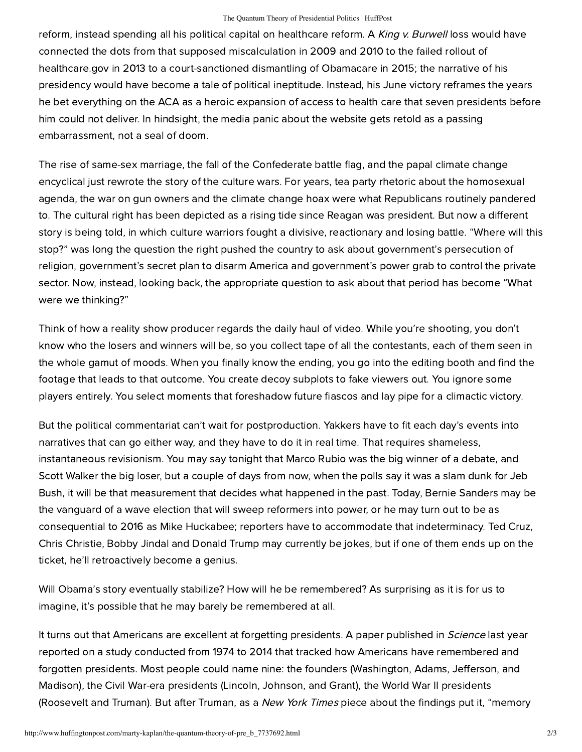#### The Quantum Theory of Presidential Politics | HuffPost

reform, instead spending all his political capital on healthcare reform. A King v. Burwell loss would have connected the dots from that supposed miscalculation in 2009 and 2010 to the failed rollout of healthcare.gov in 2013 to a court-sanctioned dismantling of Obamacare in 2015; the narrative of his presidency would have become a tale of political ineptitude. Instead, his June victory reframes the years he bet everything on the ACA as a heroic expansion of access to health care that seven presidents before him could not deliver. In hindsight, the media panic about the website gets retold as a passing embarrassment, not a seal of doom.

The rise of same-sex marriage, the fall of the Confederate battle flag, and the papal climate change encyclical just rewrote the story of the culture wars. For years, tea party rhetoric about the homosexual agenda, the war on gun owners and the climate change hoax were what Republicans routinely pandered to. The cultural right has been depicted as a rising tide since Reagan was president. But now a different story is being told, in which culture warriors fought a divisive, reactionary and losing battle. "Where will this stop?" was long the question the right pushed the country to ask about government's persecution of religion, government's secret plan to disarm America and government's power grab to control the private sector. Now, instead, looking back, the appropriate question to ask about that period has become "What were we thinking?"

Think of how a reality show producer regards the daily haul of video. While you're shooting, you don't know who the losers and winners will be, so you collect tape of all the contestants, each of them seen in the whole gamut of moods. When you finally know the ending, you go into the editing booth and find the footage that leads to that outcome. You create decoy subplots to fake viewers out. You ignore some players entirely. You select moments that foreshadow future fiascos and lay pipe for a climactic victory.

But the political commentariat can't wait for postproduction. Yakkers have to fit each day's events into narratives that can go either way, and they have to do it in real time. That requires shameless, instantaneous revisionism. You may say tonight that Marco Rubio was the big winner of a debate, and Scott Walker the big loser, but a couple of days from now, when the polls say it was a slam dunk for Jeb Bush, it will be that measurement that decides what happened in the past. Today, Bernie Sanders may be the vanguard of a wave election that will sweep reformers into power, or he may turn out to be as consequential to 2016 as Mike Huckabee; reporters have to accommodate that indeterminacy. Ted Cruz, Chris Christie, Bobby Jindal and Donald Trump may currently be jokes, but if one of them ends up on the ticket, he'll retroactively become a genius.

Will Obama's story eventually stabilize? How will he be remembered? As surprising as it is for us to imagine, it's possible that he may barely be remembered at all.

It turns out that Americans are excellent at forgetting presidents. A paper published in *[Science](http://www.sciencemag.org/content/346/6213/1106.abstract)* last year reported on a study conducted from 1974 to 2014 that tracked how Americans have remembered and forgotten presidents. Most people could name nine: the founders (Washington, Adams, Jefferson, and Madison), the Civil War-era presidents (Lincoln, Johnson, and Grant), the World War II presidents (Roosevelt and Truman). But after Truman, as a New York Times [piece](http://www.nytimes.com/2014/11/28/science/study-details-presidents-paths-from-power-to-dusty-corner-of-cultural-memory.html?_r=2) about the findings put it, "memory